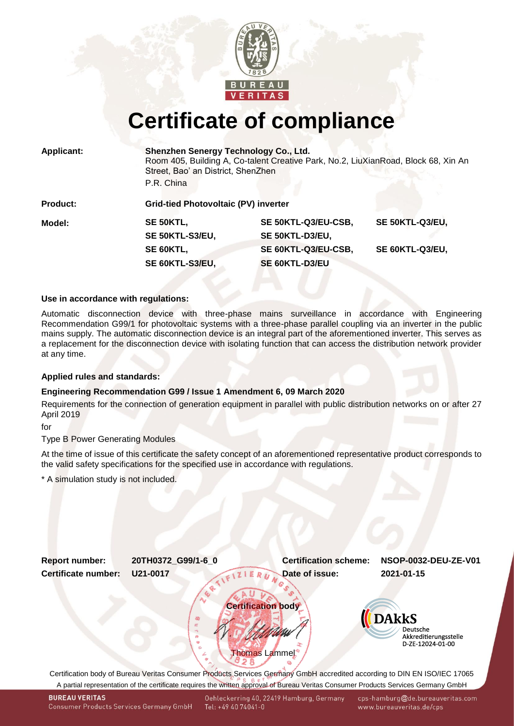

# **Certificate of compliance**

|  | <b>Applicant:</b> |  |  |
|--|-------------------|--|--|
|  |                   |  |  |

**Applicant: Shenzhen Senergy Technology Co., Ltd.**

Room 405, Building A, Co-talent Creative Park, No.2, LiuXianRoad, Block 68, Xin An Street, Bao' an District, ShenZhen

P.R. China

| <b>Product:</b> | <b>Grid-tied Photovoltaic (PV) inverter</b> |                     |                 |  |  |
|-----------------|---------------------------------------------|---------------------|-----------------|--|--|
| Model:          | SE 50KTL,                                   | SE 50KTL-Q3/EU-CSB, | SE 50KTL-Q3/EU, |  |  |
|                 | SE 50KTL-S3/EU,                             | SE 50KTL-D3/EU,     |                 |  |  |
|                 | SE 60KTL,                                   | SE 60KTL-Q3/EU-CSB, | SE 60KTL-Q3/EU, |  |  |
|                 | SE 60KTL-S3/EU,                             | SE 60KTL-D3/EU      |                 |  |  |

## **Use in accordance with regulations:**

Automatic disconnection device with three-phase mains surveillance in accordance with Engineering Recommendation G99/1 for photovoltaic systems with a three-phase parallel coupling via an inverter in the public mains supply. The automatic disconnection device is an integral part of the aforementioned inverter. This serves as a replacement for the disconnection device with isolating function that can access the distribution network provider at any time.

## **Applied rules and standards:**

# **Engineering Recommendation G99 / Issue 1 Amendment 6, 09 March 2020**

Requirements for the connection of generation equipment in parallel with public distribution networks on or after 27 April 2019

for

Type B Power Generating Modules

At the time of issue of this certificate the safety concept of an aforementioned representative product corresponds to the valid safety specifications for the specified use in accordance with regulations.

\* A simulation study is not included.

<span id="page-0-1"></span><span id="page-0-0"></span>

A partial representation of the certificate requires the written approval of Bureau Veritas Consumer Products Services Germany GmbH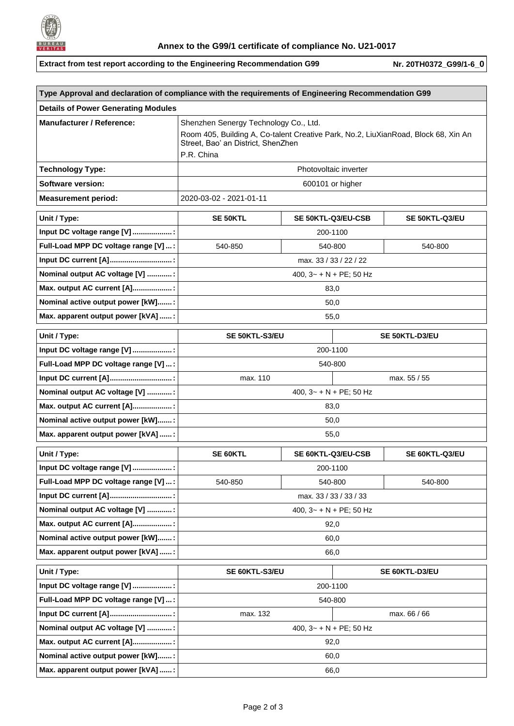

**Extract from test report according to the Engineering Recommendation G99** Nr. [20TH0372\\_G99/1-6](#page-0-1)\_0

| Type Approval and declaration of compliance with the requirements of Engineering Recommendation G99 |                                                                                                                                                                                 |                    |  |                |  |  |  |
|-----------------------------------------------------------------------------------------------------|---------------------------------------------------------------------------------------------------------------------------------------------------------------------------------|--------------------|--|----------------|--|--|--|
| <b>Details of Power Generating Modules</b>                                                          |                                                                                                                                                                                 |                    |  |                |  |  |  |
| <b>Manufacturer / Reference:</b>                                                                    | Shenzhen Senergy Technology Co., Ltd.<br>Room 405, Building A, Co-talent Creative Park, No.2, LiuXianRoad, Block 68, Xin An<br>Street, Bao' an District, ShenZhen<br>P.R. China |                    |  |                |  |  |  |
| <b>Technology Type:</b>                                                                             | Photovoltaic inverter                                                                                                                                                           |                    |  |                |  |  |  |
| <b>Software version:</b>                                                                            | 600101 or higher                                                                                                                                                                |                    |  |                |  |  |  |
| <b>Measurement period:</b>                                                                          | 2020-03-02 - 2021-01-11                                                                                                                                                         |                    |  |                |  |  |  |
| Unit / Type:                                                                                        | <b>SE 50KTL</b>                                                                                                                                                                 | SE 50KTL-Q3/EU-CSB |  | SE 50KTL-Q3/EU |  |  |  |
| Input DC voltage range [V] :                                                                        |                                                                                                                                                                                 | 200-1100           |  |                |  |  |  |
| Full-Load MPP DC voltage range [V]  :                                                               | 540-850                                                                                                                                                                         | 540-800            |  | 540-800        |  |  |  |
| Input DC current [A]:                                                                               | max. 33 / 33 / 22 / 22                                                                                                                                                          |                    |  |                |  |  |  |
| Nominal output AC voltage [V] :                                                                     | 400, $3 - + N + PE$ ; 50 Hz                                                                                                                                                     |                    |  |                |  |  |  |
| Max. output AC current [A]:                                                                         | 83,0                                                                                                                                                                            |                    |  |                |  |  |  |
| Nominal active output power [kW]:                                                                   | 50,0                                                                                                                                                                            |                    |  |                |  |  |  |
| Max. apparent output power [kVA] :                                                                  | 55,0                                                                                                                                                                            |                    |  |                |  |  |  |
| Unit / Type:                                                                                        | SE 50KTL-S3/EU                                                                                                                                                                  |                    |  | SE 50KTL-D3/EU |  |  |  |
| Input DC voltage range [V] :                                                                        | 200-1100                                                                                                                                                                        |                    |  |                |  |  |  |
| Full-Load MPP DC voltage range [V]  :                                                               | 540-800                                                                                                                                                                         |                    |  |                |  |  |  |
| Input DC current [A]:                                                                               | max. 110                                                                                                                                                                        |                    |  | max. 55 / 55   |  |  |  |
| Nominal output AC voltage [V] :                                                                     | 400, $3 - + N + PE$ ; 50 Hz                                                                                                                                                     |                    |  |                |  |  |  |
| Max. output AC current [A]:                                                                         | 83,0                                                                                                                                                                            |                    |  |                |  |  |  |
| Nominal active output power [kW]:                                                                   | 50,0                                                                                                                                                                            |                    |  |                |  |  |  |
| Max. apparent output power [kVA] :                                                                  | 55,0                                                                                                                                                                            |                    |  |                |  |  |  |
| Unit / Type:                                                                                        | <b>SE 60KTL</b>                                                                                                                                                                 | SE 60KTL-Q3/EU-CSB |  | SE 60KTL-Q3/EU |  |  |  |
| Input DC voltage range [V] :                                                                        |                                                                                                                                                                                 | 200-1100           |  |                |  |  |  |
| Full-Load MPP DC voltage range [V] :                                                                | 540-850                                                                                                                                                                         | 540-800            |  | 540-800        |  |  |  |
| Input DC current [A]                                                                                | max. 33 / 33 / 33 / 33                                                                                                                                                          |                    |  |                |  |  |  |
| Nominal output AC voltage [V] :                                                                     | 400, $3 - + N + PE$ ; 50 Hz                                                                                                                                                     |                    |  |                |  |  |  |
| Max. output AC current [A]:                                                                         | 92,0                                                                                                                                                                            |                    |  |                |  |  |  |
| Nominal active output power [kW]:                                                                   | 60,0                                                                                                                                                                            |                    |  |                |  |  |  |
| Max. apparent output power [kVA] :                                                                  | 66,0                                                                                                                                                                            |                    |  |                |  |  |  |
| Unit / Type:                                                                                        | SE 60KTL-S3/EU                                                                                                                                                                  |                    |  | SE 60KTL-D3/EU |  |  |  |
| Input DC voltage range [V] :                                                                        | 200-1100                                                                                                                                                                        |                    |  |                |  |  |  |
| Full-Load MPP DC voltage range [V] :                                                                | 540-800                                                                                                                                                                         |                    |  |                |  |  |  |
| Input DC current [A]                                                                                | max. 132<br>max. 66 / 66                                                                                                                                                        |                    |  |                |  |  |  |
| Nominal output AC voltage [V] :                                                                     | 400, $3 - + N + PE$ ; 50 Hz                                                                                                                                                     |                    |  |                |  |  |  |
| Max. output AC current [A]:                                                                         | 92,0                                                                                                                                                                            |                    |  |                |  |  |  |
| Nominal active output power [kW]:                                                                   | 60,0                                                                                                                                                                            |                    |  |                |  |  |  |
| Max. apparent output power [kVA] :                                                                  | 66,0                                                                                                                                                                            |                    |  |                |  |  |  |